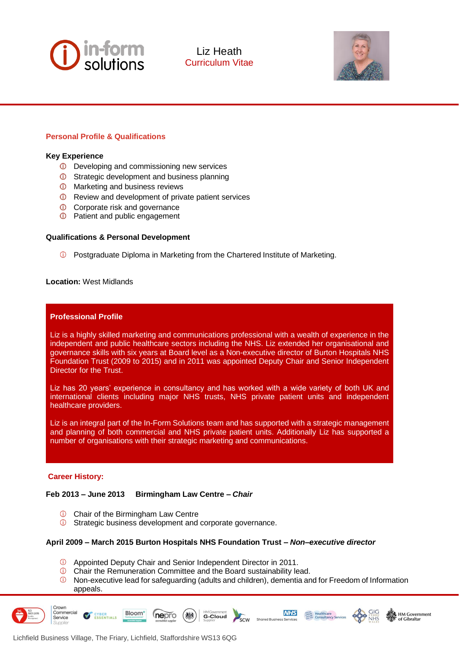



## **Personal Profile & Qualifications**

#### **Key Experience**

- Developing and commissioning new services
- **C** Strategic development and business planning
- $\overline{O}$  Marketing and business reviews
- **C** Review and development of private patient services
- **C** Corporate risk and governance
- **C** Patient and public engagement

#### **Qualifications & Personal Development**

Postgraduate Diploma in Marketing from the Chartered Institute of Marketing.

### **Location:** West Midlands

#### **Professional Profile**

Liz is a highly skilled marketing and communications professional with a wealth of experience in the independent and public healthcare sectors including the NHS. Liz extended her organisational and governance skills with six years at Board level as a Non-executive director of Burton Hospitals NHS Foundation Trust (2009 to 2015) and in 2011 was appointed Deputy Chair and Senior Independent Director for the Trust.

Liz has 20 years' experience in consultancy and has worked with a wide variety of both UK and international clients including major NHS trusts, NHS private patient units and independent healthcare providers.

Liz is an integral part of the In-Form Solutions team and has supported with a strategic management and planning of both commercial and NHS private patient units. Additionally Liz has supported a number of organisations with their strategic marketing and communications.

#### **Career History:**

### **Feb 2013 – June 2013 Birmingham Law Centre –** *Chair*

**C** Chair of the Birmingham Law Centre

Bloom\*

CYBER<br>ESSENTIALS

Strategic business development and corporate governance.

#### **April 2009 – March 2015 Burton Hospitals NHS Foundation Trust –** *Non–executive director*

**HMGovernment**<br>**G-Cloud** 

- Appointed Deputy Chair and Senior Independent Director in 2011.
- Chair the Remuneration Committee and the Board sustainability lead.
- Non-executive lead for safeguarding (adults and children), dementia and for Freedom of Information appeals.

**NHS** 

**Margin Realthcare**<br> *Margins* Consultancy Services

**K** HM Government

Crown Commercial

Service



nepro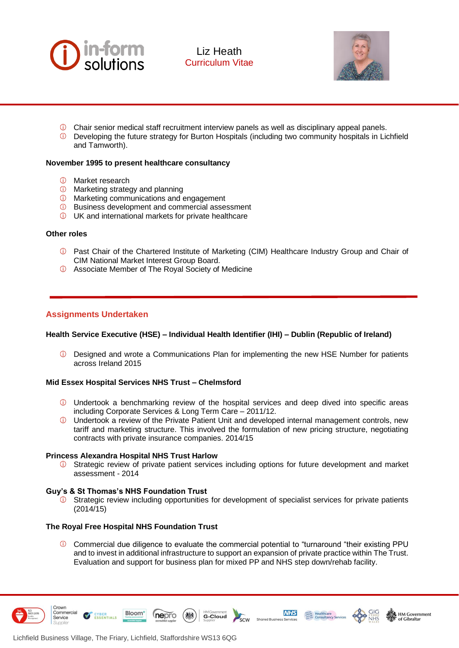



- $\odot$  Chair senior medical staff recruitment interview panels as well as disciplinary appeal panels.
- Developing the future strategy for Burton Hospitals (including two community hospitals in Lichfield and Tamworth).

### **November 1995 to present healthcare consultancy**

- Market research
- *O* Marketing strategy and planning
- Marketing communications and engagement
- Business development and commercial assessment
- UK and international markets for private healthcare

### **Other roles**

- **1** Past Chair of the Chartered Institute of Marketing (CIM) Healthcare Industry Group and Chair of CIM National Market Interest Group Board.
- Associate Member of The Royal Society of Medicine

# **Assignments Undertaken**

## **Health Service Executive (HSE) – Individual Health Identifier (IHI) – Dublin (Republic of Ireland)**

Designed and wrote a Communications Plan for implementing the new HSE Number for patients across Ireland 2015

## **Mid Essex Hospital Services NHS Trust – Chelmsford**

- Undertook a benchmarking review of the hospital services and deep dived into specific areas including Corporate Services & Long Term Care – 2011/12.
- $\mathbb O$  Undertook a review of the Private Patient Unit and developed internal management controls, new tariff and marketing structure. This involved the formulation of new pricing structure, negotiating contracts with private insurance companies. 2014/15

### **Princess Alexandra Hospital NHS Trust Harlow**

Strategic review of private patient services including options for future development and market assessment - 2014

### **Guy's & St Thomas's NHS Foundation Trust**

 $\circled{1}$  Strategic review including opportunities for development of specialist services for private patients (2014/15)

### **The Royal Free Hospital NHS Foundation Trust**

Commercial due diligence to evaluate the commercial potential to "turnaround "their existing PPU and to invest in additional infrastructure to support an expansion of private practice within The Trust. Evaluation and support for business plan for mixed PP and NHS step down/rehab facility.

**HMGovernment**<br>**G-Cloud** 

**NHS** 

**MARGE Healthcare**<br>
MARGE Healthcare<br>
MARGE Consultancy Services

HM Government

of Cibraltar



Crown Commercial

Service

CYBER<br>ESSENTIALS

Bloom<sup>\*</sup>

nepro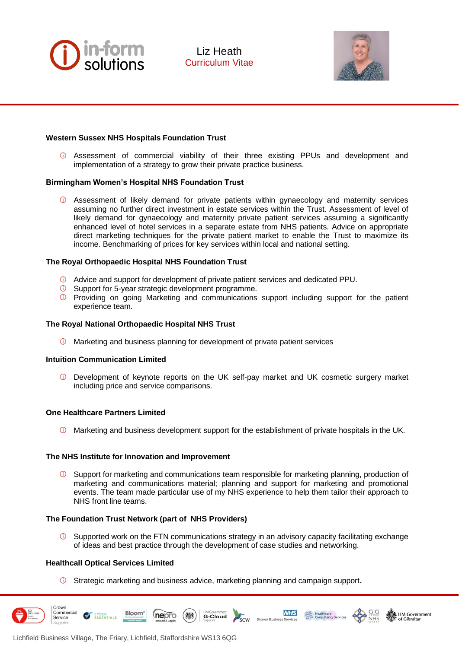



## **Western Sussex NHS Hospitals Foundation Trust**

Assessment of commercial viability of their three existing PPUs and development and implementation of a strategy to grow their private practice business.

### **Birmingham Women's Hospital NHS Foundation Trust**

 $\Phi$  Assessment of likely demand for private patients within gynaecology and maternity services assuming no further direct investment in estate services within the Trust. Assessment of level of likely demand for gynaecology and maternity private patient services assuming a significantly enhanced level of hotel services in a separate estate from NHS patients. Advice on appropriate direct marketing techniques for the private patient market to enable the Trust to maximize its income. Benchmarking of prices for key services within local and national setting.

### **The Royal Orthopaedic Hospital NHS Foundation Trust**

- Advice and support for development of private patient services and dedicated PPU.
- Support for 5-year strategic development programme.
- **EX Providing on going Marketing and communications support including support for the patient** experience team.

### **The Royal National Orthopaedic Hospital NHS Trust**

 $\overline{0}$  Marketing and business planning for development of private patient services

### **Intuition Communication Limited**

Development of keynote reports on the UK self-pay market and UK cosmetic surgery market including price and service comparisons.

### **One Healthcare Partners Limited**

 $\Phi$  Marketing and business development support for the establishment of private hospitals in the UK.

### **The NHS Institute for Innovation and Improvement**

 $\odot$ Support for marketing and communications team responsible for marketing planning, production of marketing and communications material; planning and support for marketing and promotional events. The team made particular use of my NHS experience to help them tailor their approach to NHS front line teams.

### **The Foundation Trust Network (part of NHS Providers)**

 $\circled{1}$  Supported work on the FTN communications strategy in an advisory capacity facilitating exchange of ideas and best practice through the development of case studies and networking.

**NHS** 

**Marcoc**<br>Annual Healthcare<br>Annual Consultancy Services

### **Healthcall Optical Services Limited**

CYBER<br>ESSENTIALS

Crown Commercial

Service

Strategic marketing and business advice, marketing planning and campaign support**.** 

**HMGovernment**<br>**G-Cloud** 

Bloom\*

nepro